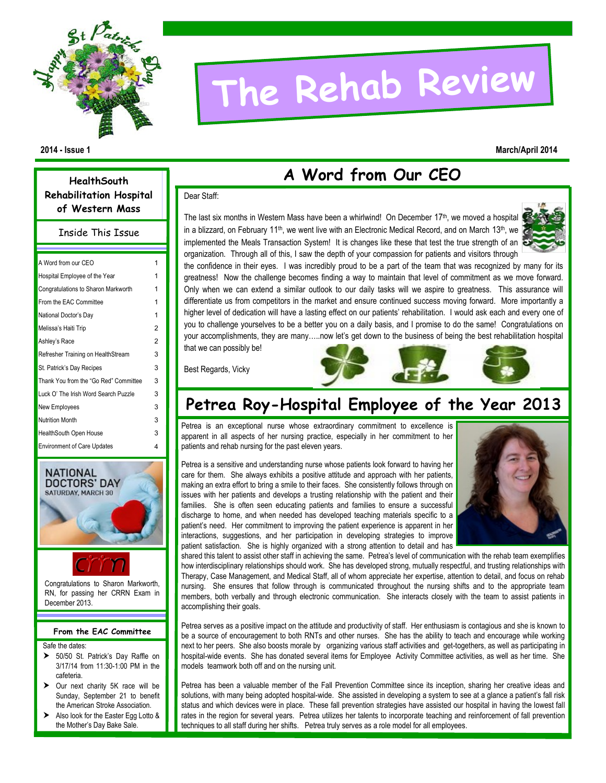

# **The Rehab Review**

#### **2014 - Issue 1 March/April 2014**

## **A Word from Our CEO**

#### Dear Staff:

The last six months in Western Mass have been a whirlwind! On December  $17<sup>th</sup>$ , we moved a hospital in a blizzard, on February 11<sup>th</sup>, we went live with an Electronic Medical Record, and on March 13<sup>th</sup>, we implemented the Meals Transaction System! It is changes like these that test the true strength of an organization. Through all of this, I saw the depth of your compassion for patients and visitors through



the confidence in their eyes. I was incredibly proud to be a part of the team that was recognized by many for its greatness! Now the challenge becomes finding a way to maintain that level of commitment as we move forward. Only when we can extend a similar outlook to our daily tasks will we aspire to greatness. This assurance will differentiate us from competitors in the market and ensure continued success moving forward. More importantly a higher level of dedication will have a lasting effect on our patients' rehabilitation. I would ask each and every one of you to challenge yourselves to be a better you on a daily basis, and I promise to do the same! Congratulations on your accomplishments, they are many…..now let's get down to the business of being the best rehabilitation hospital that we can possibly be!

Best Regards, Vicky

## **Petrea Roy-Hospital Employee of the Year 2013**

Petrea is an exceptional nurse whose extraordinary commitment to excellence is apparent in all aspects of her nursing practice, especially in her commitment to her patients and rehab nursing for the past eleven years.



Petrea is a sensitive and understanding nurse whose patients look forward to having her care for them. She always exhibits a positive attitude and approach with her patients, making an extra effort to bring a smile to their faces. She consistently follows through on issues with her patients and develops a trusting relationship with the patient and their families. She is often seen educating patients and families to ensure a successful discharge to home, and when needed has developed teaching materials specific to a patient's need. Her commitment to improving the patient experience is apparent in her interactions, suggestions, and her participation in developing strategies to improve patient satisfaction. She is highly organized with a strong attention to detail and has

shared this talent to assist other staff in achieving the same. Petrea's level of communication with the rehab team exemplifies how interdisciplinary relationships should work. She has developed strong, mutually respectful, and trusting relationships with Therapy, Case Management, and Medical Staff, all of whom appreciate her expertise, attention to detail, and focus on rehab nursing. She ensures that follow through is communicated throughout the nursing shifts and to the appropriate team members, both verbally and through electronic communication. She interacts closely with the team to assist patients in accomplishing their goals.

Petrea serves as a positive impact on the attitude and productivity of staff. Her enthusiasm is contagious and she is known to be a source of encouragement to both RNTs and other nurses. She has the ability to teach and encourage while working next to her peers. She also boosts morale by organizing various staff activities and get-togethers, as well as participating in hospital-wide events. She has donated several items for Employee Activity Committee activities, as well as her time. She models teamwork both off and on the nursing unit.

Petrea has been a valuable member of the Fall Prevention Committee since its inception, sharing her creative ideas and solutions, with many being adopted hospital-wide. She assisted in developing a system to see at a glance a patient's fall risk status and which devices were in place. These fall prevention strategies have assisted our hospital in having the lowest fall rates in the region for several years. Petrea utilizes her talents to incorporate teaching and reinforcement of fall prevention techniques to all staff during her shifts. Petrea truly serves as a role model for all employees.

**HealthSouth Rehabilitation Hospital of Western Mass**

Inside This Issue

| A Word from our CEO                   | 1 |
|---------------------------------------|---|
| Hospital Employee of the Year         | 1 |
| Congratulations to Sharon Markworth   | 1 |
| From the EAC Committee                | 1 |
| National Doctor's Day                 | 1 |
| Melissa's Haiti Trip                  | 2 |
| Ashley's Race                         | 2 |
| Refresher Training on HealthStream    | 3 |
| St. Patrick's Day Recipes             | 3 |
| Thank You from the "Go Red" Committee | 3 |
| Luck O' The Irish Word Search Puzzle  | 3 |
| New Employees                         | 3 |
| <b>Nutrition Month</b>                | 3 |
| HealthSouth Open House                | 3 |
| <b>Environment of Care Updates</b>    | 4 |
|                                       |   |



Congratulations to Sharon Markworth, RN, for passing her CRRN Exam in December 2013.

#### **From the EAC Committee**

Safe the dates:

- > 50/50 St. Patrick's Day Raffle on 3/17/14 from 11:30-1:00 PM in the cafeteria.
- > Our next charity 5K race will be Sunday, September 21 to benefit the American Stroke Association.
- Also look for the Easter Egg Lotto & the Mother's Day Bake Sale.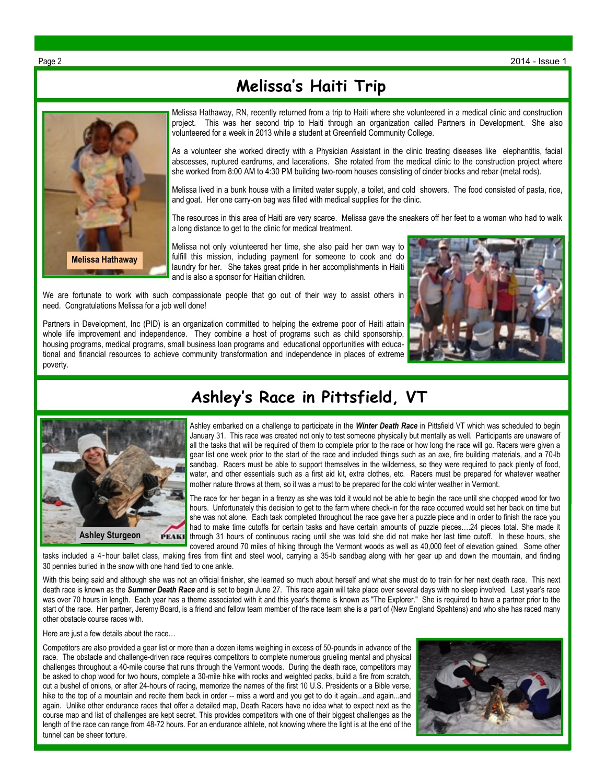## **Melissa's Haiti Trip**



Melissa Hathaway, RN, recently returned from a trip to Haiti where she volunteered in a medical clinic and construction project. This was her second trip to Haiti through an organization called Partners in Development. She also volunteered for a week in 2013 while a student at Greenfield Community College.

As a volunteer she worked directly with a Physician Assistant in the clinic treating diseases like elephantitis, facial abscesses, ruptured eardrums, and lacerations. She rotated from the medical clinic to the construction project where she worked from 8:00 AM to 4:30 PM building two-room houses consisting of cinder blocks and rebar (metal rods).

Melissa lived in a bunk house with a limited water supply, a toilet, and cold showers. The food consisted of pasta, rice, and goat. Her one carry-on bag was filled with medical supplies for the clinic.

The resources in this area of Haiti are very scarce. Melissa gave the sneakers off her feet to a woman who had to walk a long distance to get to the clinic for medical treatment.

Melissa not only volunteered her time, she also paid her own way to fulfill this mission, including payment for someone to cook and do laundry for her. She takes great pride in her accomplishments in Haiti and is also a sponsor for Haitian children.

We are fortunate to work with such compassionate people that go out of their way to assist others in need. Congratulations Melissa for a job well done!

Partners in Development, Inc (PID) is an organization committed to helping the extreme poor of Haiti attain whole life improvement and independence. They combine a host of programs such as child sponsorship, housing programs, medical programs, small business loan programs and educational opportunities with educational and financial resources to achieve community transformation and independence in places of extreme poverty.





## **Ashley's Race in Pittsfield, VT**

Ashley embarked on a challenge to participate in the *Winter Death Race* in Pittsfield VT which was scheduled to begin January 31. This race was created not only to test someone physically but mentally as well. Participants are unaware of all the tasks that will be required of them to complete prior to the race or how long the race will go. Racers were given a gear list one week prior to the start of the race and included things such as an axe, fire building materials, and a 70-lb sandbag. Racers must be able to support themselves in the wilderness, so they were required to pack plenty of food, water, and other essentials such as a first aid kit, extra clothes, etc. Racers must be prepared for whatever weather mother nature throws at them, so it was a must to be prepared for the cold winter weather in Vermont.

The race for her began in a frenzy as she was told it would not be able to begin the race until she chopped wood for two hours. Unfortunately this decision to get to the farm where check-in for the race occurred would set her back on time but she was not alone. Each task completed throughout the race gave her a puzzle piece and in order to finish the race you had to make time cutoffs for certain tasks and have certain amounts of puzzle pieces....24 pieces total. She made it through 31 hours of continuous racing until she was told she did not make her last time cutoff. In these hours, she covered around 70 miles of hiking through the Vermont woods as well as 40,000 feet of elevation gained. Some other

tasks included a 4‑hour ballet class, making fires from flint and steel wool, carrying a 35-lb sandbag along with her gear up and down the mountain, and finding 30 pennies buried in the snow with one hand tied to one ankle.

With this being said and although she was not an official finisher, she learned so much about herself and what she must do to train for her next death race. This next death race is known as the *Summer Death Race* and is set to begin June 27. This race again will take place over several days with no sleep involved. Last year's race was over 70 hours in length. Each year has a theme associated with it and this year's theme is known as "The Explorer." She is required to have a partner prior to the start of the race. Her partner, Jeremy Board, is a friend and fellow team member of the race team she is a part of (New England Spahtens) and who she has raced many other obstacle course races with.

Here are just a few details about the race…

Competitors are also provided a gear list or more than a dozen items weighing in excess of 50-pounds in advance of the race. The obstacle and challenge-driven race requires competitors to complete numerous grueling mental and physical challenges throughout a 40-mile course that runs through the Vermont woods. During the death race, competitors may be asked to chop wood for two hours, complete a 30-mile hike with rocks and weighted packs, build a fire from scratch, cut a bushel of onions, or after 24-hours of racing, memorize the names of the first 10 U.S. Presidents or a Bible verse, hike to the top of a mountain and recite them back in order -- miss a word and you get to do it again...and again...and again. Unlike other endurance races that offer a detailed map, Death Racers have no idea what to expect next as the course map and list of challenges are kept secret. This provides competitors with one of their biggest challenges as the length of the race can range from 48-72 hours. For an endurance athlete, not knowing where the light is at the end of the tunnel can be sheer torture.

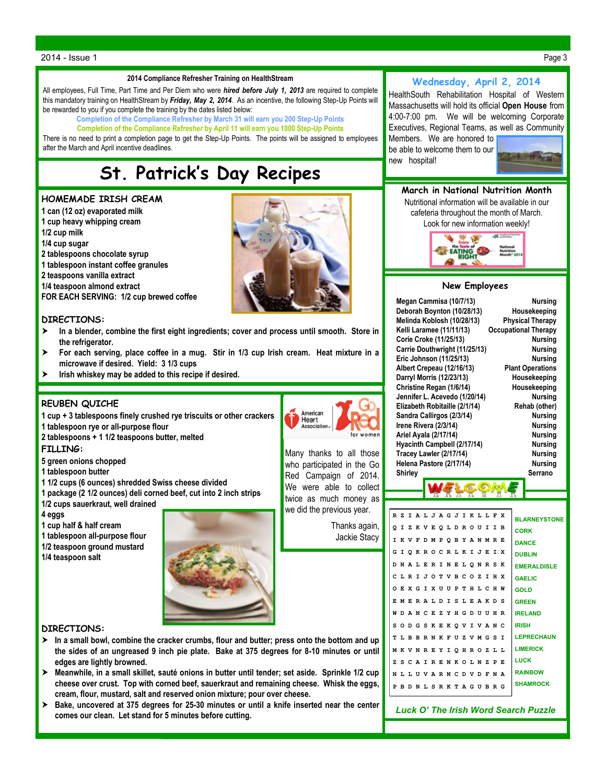#### 2014 - Issue 1 Page 3

#### **2014 Compliance Refresher Training on HealthStream**

All employees, Full Time, Part Time and Per Diem who were *hired before July 1, 2013* are required to complete this mandatory training on HealthStream by *Friday, May 2, 2014*. As an incentive, the following Step-Up Points will be rewarded to you if you complete the training by the dates listed below:

**Completion of the Compliance Refresher by March 31 will earn you 200 Step-Up Points**

**Completion of the Compliance Refresher by April 11 will earn you 1000 Step-Up Points**

There is no need to print a completion page to get the Step-Up Points. The points will be assigned to employees after the March and April incentive deadlines.

## **St. Patrick's Day Recipes**

#### **HOMEMADE IRISH CREAM**

- **1 can (12 oz) evaporated milk**
- **1 cup heavy whipping cream**
- **1/2 cup milk**
- **1/4 cup sugar**
- **2 tablespoons chocolate syrup**
- **1 tablespoon instant coffee granules**
- **2 teaspoons vanilla extract**
- **1/4 teaspoon almond extract**

**FOR EACH SERVING: 1/2 cup brewed coffee**

#### **DIRECTIONS:**

- **In a blender, combine the first eight ingredients; cover and process until smooth. Store in the refrigerator.**
- **For each serving, place coffee in a mug. Stir in 1/3 cup Irish cream. Heat mixture in a microwave if desired. Yield: 3 1/3 cups**
- **Irish whiskey may be added to this recipe if desired.**

#### **REUBEN QUICHE**

- **1 cup + 3 tablespoons finely crushed rye triscuits or other crackers**
- **1 tablespoon rye or all-purpose flour**
- **2 tablespoons + 1 1/2 teaspoons butter, melted**

#### **FILLING:**

- **5 green onions chopped**
- **1 tablespoon butter**
- **1 1/2 cups (6 ounces) shredded Swiss cheese divided**
- **1 package (2 1/2 ounces) deli corned beef, cut into 2 inch strips**
- **1/2 cups sauerkraut, well drained**
- **4 eggs**
- **1 cup half & half cream**

**1 tablespoon all-purpose flour**

**1/2 teaspoon ground mustard**

**1/4 teaspoon salt**



#### **DIRECTIONS:**

- **In a small bowl, combine the cracker crumbs, flour and butter; press onto the bottom and up the sides of an ungreased 9 inch pie plate. Bake at 375 degrees for 8-10 minutes or until edges are lightly browned.**
- **Meanwhile, in a small skillet, sauté onions in butter until tender; set aside. Sprinkle 1/2 cup cheese over crust. Top with corned beef, sauerkraut and remaining cheese. Whisk the eggs, cream, flour, mustard, salt and reserved onion mixture; pour over cheese.**
- **Bake, uncovered at 375 degrees for 25-30 minutes or until a knife inserted near the center comes our clean. Let stand for 5 minutes before cutting.**



### **Wednesday, April 2, 2014**

HealthSouth Rehabilitation Hospital of Western Massachusetts will hold its official **Open House** from 4:00-7:00 pm. We will be welcoming Corporate Executives, Regional Teams, as well as Community Members. We are honored to

be able to welcome them to our new hospital!



#### **March in National Nutrition Month** Nutritional information will be available in our

cafeteria throughout the month of March. Look for new information weekly!



#### **New Employees**

|          | Megan Cammisa (10/7/13)<br>Deborah Boynton (10/28/13)<br>Melinda Koblosh (10/28/13)<br>Kelli Laramee (11/11/13)<br>Corie Croke (11/25/13)<br>Carrie Douthwright (11/25/13)<br>Eric Johnson (11/25/13)<br>Albert Crepeau (12/16/13)<br>Darryl Morris (12/23/13)<br>Christine Regan (1/6/14)<br>Jennifer L. Acevedo (1/20/14)<br>Elizabeth Robitaille (2/1/14)<br>Sandra Callirgos (2/3/14)<br>Irene Rivera (2/3/14)<br>Ariel Ayala (2/17/14)<br>Hyacinth Campbell (2/17/14) |                |        |       |                                                     |       |                | <b>Nursing</b><br>Housekeeping<br><b>Physical Therapy</b><br><b>Occupational Therapy</b><br><b>Nursina</b><br><b>Nursing</b><br><b>Nursing</b><br><b>Plant Operations</b><br>Housekeeping<br>Housekeeping<br><b>Nursing</b><br>Rehab (other)<br><b>Nursing</b><br><b>Nursina</b><br><b>Nursing</b><br><b>Nursing</b> |     |              |                           |              |             |              |              |                                             |  |
|----------|----------------------------------------------------------------------------------------------------------------------------------------------------------------------------------------------------------------------------------------------------------------------------------------------------------------------------------------------------------------------------------------------------------------------------------------------------------------------------|----------------|--------|-------|-----------------------------------------------------|-------|----------------|----------------------------------------------------------------------------------------------------------------------------------------------------------------------------------------------------------------------------------------------------------------------------------------------------------------------|-----|--------------|---------------------------|--------------|-------------|--------------|--------------|---------------------------------------------|--|
|          |                                                                                                                                                                                                                                                                                                                                                                                                                                                                            | <b>Shirley</b> |        |       | Tracey Lawler (2/17/14)<br>Helena Pastore (2/17/14) |       |                |                                                                                                                                                                                                                                                                                                                      |     |              |                           |              |             |              |              | <b>Nursing</b><br><b>Nursing</b><br>Serrano |  |
|          |                                                                                                                                                                                                                                                                                                                                                                                                                                                                            |                |        |       |                                                     |       |                |                                                                                                                                                                                                                                                                                                                      |     |              |                           |              |             |              |              |                                             |  |
| R Z<br>o | $\mathbf{I}$                                                                                                                                                                                                                                                                                                                                                                                                                                                               | z              |        | K V E | I A L J A G J I K                                   | Q L D |                |                                                                                                                                                                                                                                                                                                                      | R O |              | L<br>U                    | L<br>I       | F<br>I      | x<br>в       |              | <b>BLARNEYSTONE</b><br><b>CORK</b>          |  |
| I        | K V                                                                                                                                                                                                                                                                                                                                                                                                                                                                        |                | F      |       | D M P                                               |       |                |                                                                                                                                                                                                                                                                                                                      |     | O B Y A N    |                           | м            | $\mathbf R$ | E            |              | <b>DANCE</b>                                |  |
| G        | I                                                                                                                                                                                                                                                                                                                                                                                                                                                                          |                |        |       | <b>OKROCRLKI</b>                                    |       |                |                                                                                                                                                                                                                                                                                                                      |     |              | J                         | E            | I           | x            |              | <b>DUBLIN</b>                               |  |
| D        |                                                                                                                                                                                                                                                                                                                                                                                                                                                                            |                |        |       | NALERI                                              |       |                |                                                                                                                                                                                                                                                                                                                      |     |              | <b>NELQNRS</b>            |              |             | к            |              | <b>EMERALDISLE</b>                          |  |
| C        | L                                                                                                                                                                                                                                                                                                                                                                                                                                                                          | R I            |        |       | JOT                                                 |       | V <sub>B</sub> |                                                                                                                                                                                                                                                                                                                      | c o |              | z                         | I.           | H           | X            |              | <b>GAELIC</b>                               |  |
|          |                                                                                                                                                                                                                                                                                                                                                                                                                                                                            |                |        |       | <b>OEXGIXUU</b>                                     |       |                | P                                                                                                                                                                                                                                                                                                                    |     |              | THLCH                     |              |             | W            | <b>GOLD</b>  |                                             |  |
|          |                                                                                                                                                                                                                                                                                                                                                                                                                                                                            |                |        |       | EMERALD                                             |       | $\mathbf{r}$   | s                                                                                                                                                                                                                                                                                                                    | L E |              | AKD                       |              |             | s            |              | <b>GREEN</b>                                |  |
| M        | D                                                                                                                                                                                                                                                                                                                                                                                                                                                                          | A <sub>N</sub> |        | C E   |                                                     | z     | Y              | H                                                                                                                                                                                                                                                                                                                    | G D |              | UU                        |              | H           | R            |              | <b>IRELAND</b>                              |  |
| s        | O <sub>D</sub>                                                                                                                                                                                                                                                                                                                                                                                                                                                             |                | G      | S     | K E                                                 |       | к              | $\circ$                                                                                                                                                                                                                                                                                                              | v   | $\mathbf{I}$ |                           | <b>VAN</b>   |             | C            | <b>IRISH</b> |                                             |  |
|          |                                                                                                                                                                                                                                                                                                                                                                                                                                                                            | TLBB           |        |       | R N K                                               |       | $\mathbf{F}$   | U                                                                                                                                                                                                                                                                                                                    |     |              | ZVMGS                     |              |             | I            |              | <b>LEPRECHAUN</b>                           |  |
|          |                                                                                                                                                                                                                                                                                                                                                                                                                                                                            |                | MKVNRE |       |                                                     | Y     |                |                                                                                                                                                                                                                                                                                                                      |     |              | IOHROZL                   |              |             | L            |              | <b>LIMERICK</b>                             |  |
| z        |                                                                                                                                                                                                                                                                                                                                                                                                                                                                            |                |        |       | <b>SCAIRENKOLN</b>                                  |       |                |                                                                                                                                                                                                                                                                                                                      |     |              |                           | z            | P           | F.           | <b>LUCK</b>  |                                             |  |
|          |                                                                                                                                                                                                                                                                                                                                                                                                                                                                            |                |        |       | N L L U V A R N C D V D                             |       |                |                                                                                                                                                                                                                                                                                                                      |     |              |                           | $\mathbf{F}$ | N           | $\mathbf{A}$ |              | <b>RAINBOW</b>                              |  |
| P        |                                                                                                                                                                                                                                                                                                                                                                                                                                                                            |                |        |       |                                                     |       |                |                                                                                                                                                                                                                                                                                                                      |     |              | B D N L S R K T A G U B R |              |             | G            |              | <b>SHAMROCK</b>                             |  |
|          |                                                                                                                                                                                                                                                                                                                                                                                                                                                                            |                |        |       |                                                     |       |                |                                                                                                                                                                                                                                                                                                                      |     |              |                           |              |             |              |              |                                             |  |





Many thanks to all those who participated in the Go Red Campaign of 2014. We were able to collect twice as much money as

we did the previous year. Thanks again, Jackie Stacy